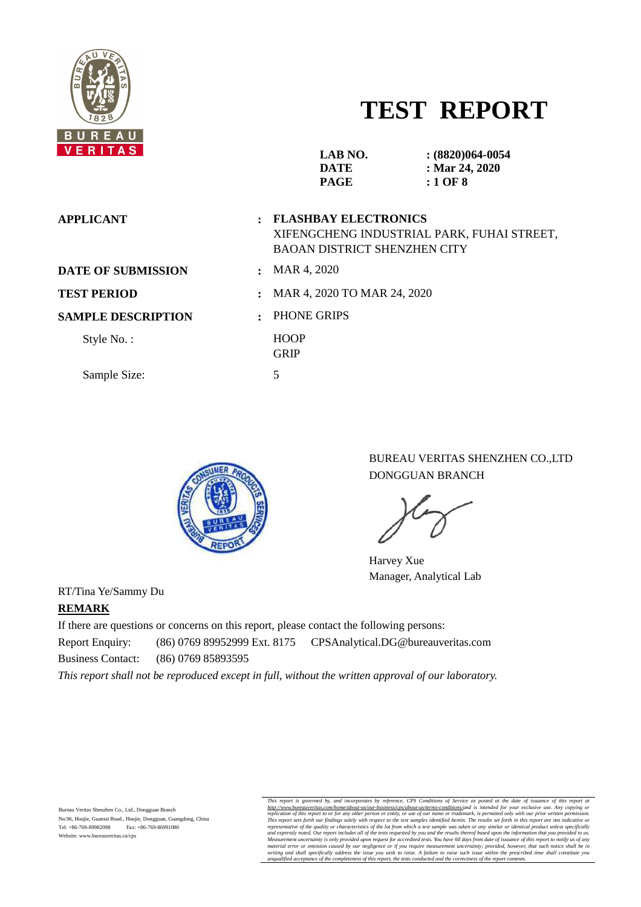

# **TEST REPORT**

| VERIIAS.                  |                            | LAB NO.<br><b>DATE</b><br><b>PAGE</b>                              | $(8820)064-0054$<br>: Mar 24, 2020<br>$:1$ OF 8 |
|---------------------------|----------------------------|--------------------------------------------------------------------|-------------------------------------------------|
| <b>APPLICANT</b>          |                            | <b>FLASHBAY ELECTRONICS</b><br><b>BAOAN DISTRICT SHENZHEN CITY</b> | XIFENGCHENG INDUSTRIAL PARK, FUHAI STREET,      |
| <b>DATE OF SUBMISSION</b> | $\mathbf{r}$               | MAR 4, 2020                                                        |                                                 |
| <b>TEST PERIOD</b>        |                            | MAR 4, 2020 TO MAR 24, 2020                                        |                                                 |
| <b>SAMPLE DESCRIPTION</b> | $\bullet$                  | PHONE GRIPS                                                        |                                                 |
| Style No.:                | <b>HOOP</b><br><b>GRIP</b> |                                                                    |                                                 |
| Sample Size:              | 5                          |                                                                    |                                                 |
|                           |                            |                                                                    |                                                 |



BUREAU VERITAS SHENZHEN CO.,LTD DONGGUAN BRANCH

Harvey Xue Manager, Analytical Lab

RT/Tina Ye/Sammy Du **REMARK** 

If there are questions or concerns on this report, please contact the following persons: Report Enquiry: (86) 0769 89952999 Ext. 8175 CPSAnalytical.DG@bureauveritas.com Business Contact: (86) 0769 85893595

*This report shall not be reproduced except in full, without the written approval of our laboratory.* 

This report is governed by, and incorporates by reference, CPS Conditions of Service as posted at the date of issuarce of this report and the tractionary of the tractionary in the tractionary in the tractionary in the trac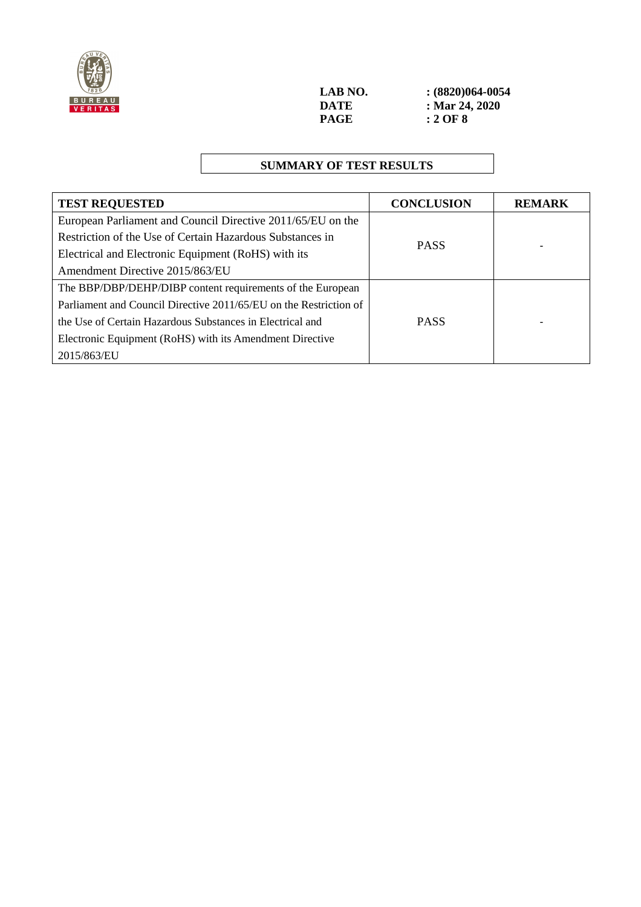

## **SUMMARY OF TEST RESULTS**

| <b>TEST REQUESTED</b>                                             | <b>CONCLUSION</b> | <b>REMARK</b> |
|-------------------------------------------------------------------|-------------------|---------------|
| European Parliament and Council Directive 2011/65/EU on the       |                   |               |
| Restriction of the Use of Certain Hazardous Substances in         | <b>PASS</b>       |               |
| Electrical and Electronic Equipment (RoHS) with its               |                   |               |
| Amendment Directive 2015/863/EU                                   |                   |               |
| The BBP/DBP/DEHP/DIBP content requirements of the European        |                   |               |
| Parliament and Council Directive 2011/65/EU on the Restriction of |                   |               |
| the Use of Certain Hazardous Substances in Electrical and         | <b>PASS</b>       |               |
| Electronic Equipment (RoHS) with its Amendment Directive          |                   |               |
| 2015/863/EU                                                       |                   |               |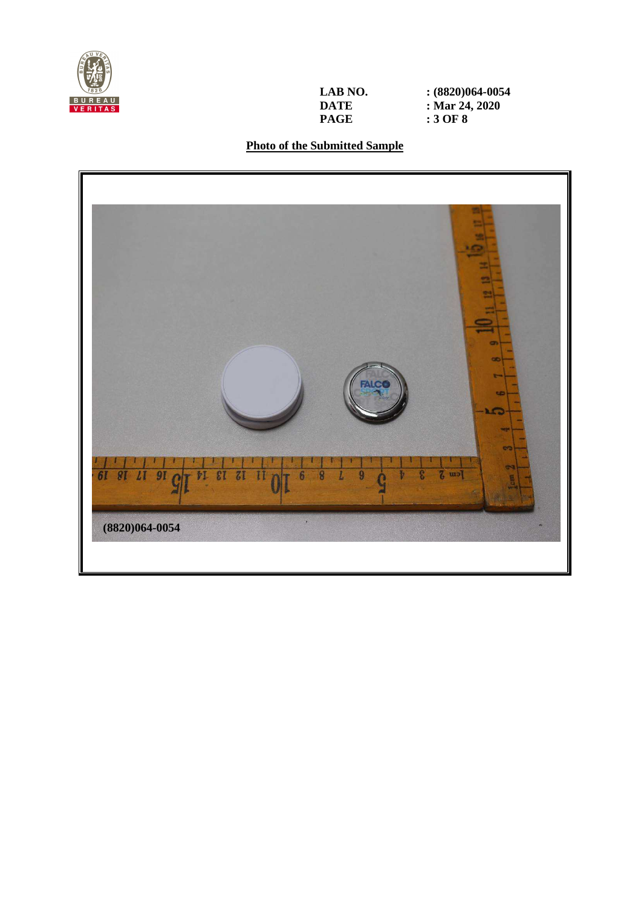

**LAB NO.** <br>**: (8820)064-0054**<br>**DATE :** Mar 24, 2020 **DATE** : Mar 24, 2020<br> **PAGE** : 3 OF 8 **PAGE : 3 OF 8** 

## **Photo of the Submitted Sample**

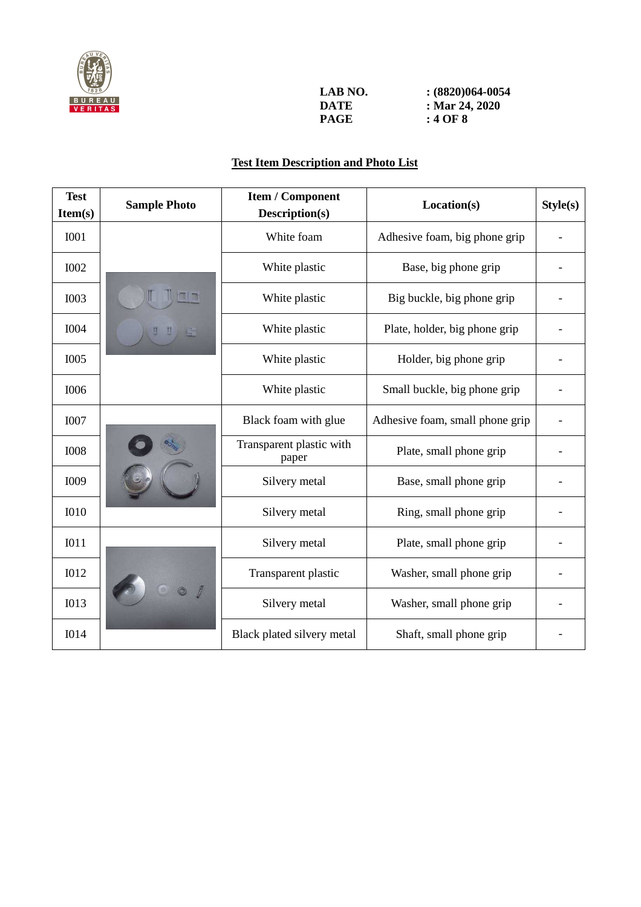

| LAB NO. | $(8820)064-0054$ |
|---------|------------------|
| DATE    | : Mar 24, 2020   |
| PAGE    | : 4 OF 8         |

# **Test Item Description and Photo List**

| <b>Test</b><br>Item(s) | <b>Sample Photo</b> | <b>Item / Component</b><br>Description(s) | Location(s)                     | Style(s) |
|------------------------|---------------------|-------------------------------------------|---------------------------------|----------|
| <b>IOO1</b>            |                     | White foam                                | Adhesive foam, big phone grip   |          |
| <b>I002</b>            |                     | White plastic                             | Base, big phone grip            |          |
| <b>I003</b>            |                     | White plastic                             | Big buckle, big phone grip      |          |
| <b>I004</b>            |                     | White plastic                             | Plate, holder, big phone grip   |          |
| <b>I005</b>            |                     | White plastic                             | Holder, big phone grip          |          |
| <b>I006</b>            |                     | White plastic                             | Small buckle, big phone grip    |          |
| <b>I007</b>            |                     | Black foam with glue                      | Adhesive foam, small phone grip |          |
| <b>I008</b>            |                     | Transparent plastic with<br>paper         | Plate, small phone grip         |          |
| <b>I009</b>            |                     | Silvery metal                             | Base, small phone grip          |          |
| <b>I010</b>            |                     | Silvery metal                             | Ring, small phone grip          |          |
| I011                   |                     | Silvery metal                             | Plate, small phone grip         |          |
| <b>I012</b>            |                     | Transparent plastic                       | Washer, small phone grip        |          |
| <b>IO13</b>            |                     | Silvery metal<br>Washer, small phone grip |                                 |          |
| <b>IO14</b>            |                     | Black plated silvery metal                | Shaft, small phone grip         |          |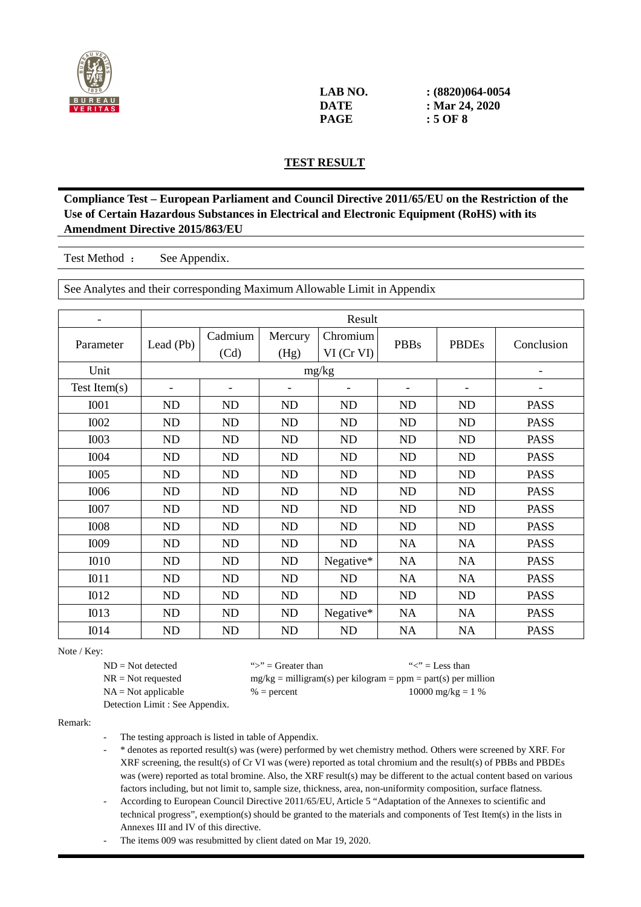

| LAB NO. | $(8820)064-0054$ |
|---------|------------------|
| DATE    | : Mar 24, 2020   |
| PAGE    | : 5 OF 8         |

#### **TEST RESULT**

**Compliance Test – European Parliament and Council Directive 2011/65/EU on the Restriction of the Use of Certain Hazardous Substances in Electrical and Electronic Equipment (RoHS) with its Amendment Directive 2015/863/EU** 

Test Method : See Appendix.

See Analytes and their corresponding Maximum Allowable Limit in Appendix

|                  | Result    |                 |                 |                        |             |              |             |
|------------------|-----------|-----------------|-----------------|------------------------|-------------|--------------|-------------|
| Parameter        | Lead (Pb) | Cadmium<br>(Cd) | Mercury<br>(Hg) | Chromium<br>VI (Cr VI) | <b>PBBs</b> | <b>PBDEs</b> | Conclusion  |
| Unit             |           |                 |                 | mg/kg                  |             |              |             |
| Test Item $(s)$  |           |                 |                 |                        |             |              |             |
| <b>I001</b>      | ND        | <b>ND</b>       | ND              | <b>ND</b>              | <b>ND</b>   | ND           | <b>PASS</b> |
| <b>I002</b>      | ND        | <b>ND</b>       | ND              | ND                     | <b>ND</b>   | <b>ND</b>    | <b>PASS</b> |
| <b>I003</b>      | ND        | <b>ND</b>       | ND              | ND                     | <b>ND</b>   | ND           | <b>PASS</b> |
| <b>I004</b>      | <b>ND</b> | <b>ND</b>       | ND              | ND                     | <b>ND</b>   | <b>ND</b>    | <b>PASS</b> |
| <b>I005</b>      | ND        | <b>ND</b>       | ND              | ND                     | <b>ND</b>   | ND           | <b>PASS</b> |
| <b>I006</b>      | ND        | <b>ND</b>       | ND              | ND                     | <b>ND</b>   | <b>ND</b>    | <b>PASS</b> |
| <b>I007</b>      | ND        | <b>ND</b>       | ND              | ND                     | <b>ND</b>   | <b>ND</b>    | <b>PASS</b> |
| <b>I008</b>      | <b>ND</b> | <b>ND</b>       | <b>ND</b>       | <b>ND</b>              | <b>ND</b>   | <b>ND</b>    | <b>PASS</b> |
| I009             | ND        | <b>ND</b>       | ND              | ND                     | <b>NA</b>   | <b>NA</b>    | <b>PASS</b> |
| <b>I010</b>      | ND        | <b>ND</b>       | ND              | Negative*              | <b>NA</b>   | <b>NA</b>    | <b>PASS</b> |
| I011             | ND        | <b>ND</b>       | <b>ND</b>       | ND                     | <b>NA</b>   | <b>NA</b>    | <b>PASS</b> |
| <b>I012</b>      | <b>ND</b> | <b>ND</b>       | <b>ND</b>       | ND                     | <b>ND</b>   | <b>ND</b>    | <b>PASS</b> |
| I013             | ND        | <b>ND</b>       | ND              | Negative*              | <b>NA</b>   | <b>NA</b>    | <b>PASS</b> |
| I <sub>014</sub> | ND        | <b>ND</b>       | <b>ND</b>       | ND                     | <b>NA</b>   | <b>NA</b>    | <b>PASS</b> |

Note / Key:

 $ND = Not detected$  ">" = Greater than "<" = Less than  $NR = Not requested$  mg/kg = milligram(s) per kilogram = ppm = part(s) per million  $NA = Not applicable$  % = percent 10000 mg/kg = 1 %

Detection Limit : See Appendix.

Remark:

The testing approach is listed in table of Appendix.

- \* denotes as reported result(s) was (were) performed by wet chemistry method. Others were screened by XRF. For XRF screening, the result(s) of Cr VI was (were) reported as total chromium and the result(s) of PBBs and PBDEs was (were) reported as total bromine. Also, the XRF result(s) may be different to the actual content based on various factors including, but not limit to, sample size, thickness, area, non-uniformity composition, surface flatness.
- According to European Council Directive 2011/65/EU, Article 5 "Adaptation of the Annexes to scientific and technical progress", exemption(s) should be granted to the materials and components of Test Item(s) in the lists in Annexes III and IV of this directive.

The items 009 was resubmitted by client dated on Mar 19, 2020.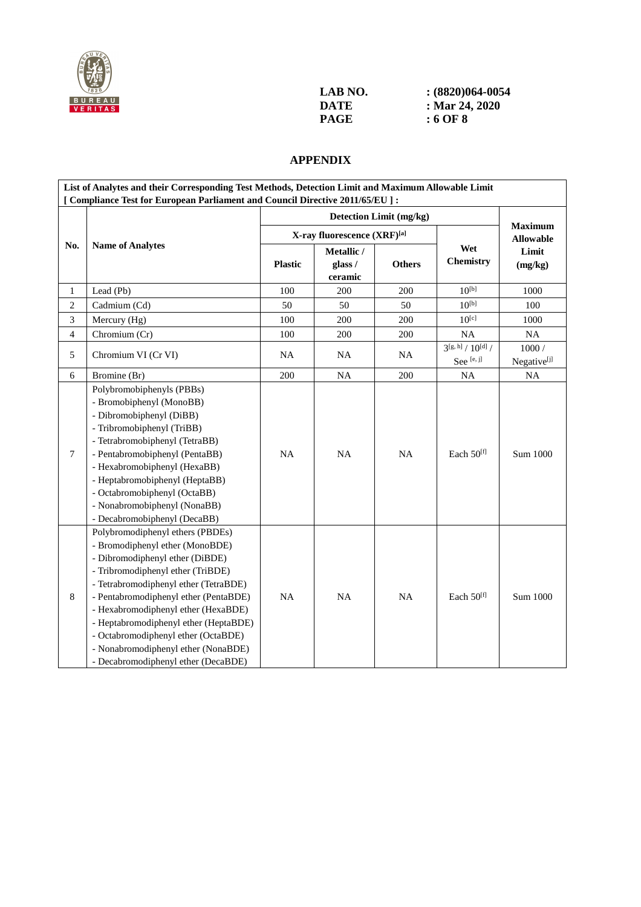

| LAB NO. | $(8820)064-0054$ |
|---------|------------------|
| DATE    | : Mar 24, 2020   |
| PAGE    | : 6 OF 8         |

#### **APPENDIX**

| List of Analytes and their Corresponding Test Methods, Detection Limit and Maximum Allowable Limit |                                                                                |                |                             |                         |                        |                                    |  |
|----------------------------------------------------------------------------------------------------|--------------------------------------------------------------------------------|----------------|-----------------------------|-------------------------|------------------------|------------------------------------|--|
|                                                                                                    | [ Compliance Test for European Parliament and Council Directive 2011/65/EU ] : |                |                             |                         |                        |                                    |  |
|                                                                                                    |                                                                                |                |                             | Detection Limit (mg/kg) |                        |                                    |  |
|                                                                                                    |                                                                                |                | X-ray fluorescence (XRF)[a] |                         |                        | <b>Maximum</b><br><b>Allowable</b> |  |
| No.                                                                                                | <b>Name of Analytes</b>                                                        | Metallic /     |                             |                         | Wet                    | Limit                              |  |
|                                                                                                    |                                                                                | <b>Plastic</b> | glass /                     | <b>Others</b>           | Chemistry              | (mg/kg)                            |  |
|                                                                                                    |                                                                                |                | ceramic                     |                         | $10^{[b]}$             |                                    |  |
| 1                                                                                                  | Lead (Pb)                                                                      | 100            | 200                         | 200                     |                        | 1000                               |  |
| $\overline{c}$                                                                                     | Cadmium (Cd)                                                                   | 50             | 50                          | 50                      | $10^{[b]}$             | 100                                |  |
| 3                                                                                                  | Mercury (Hg)                                                                   | 100            | 200                         | 200                     | $10^{[c]}$             | 1000                               |  |
| $\overline{4}$                                                                                     | Chromium (Cr)                                                                  | 100            | 200                         | 200                     | <b>NA</b>              | NA                                 |  |
| 5                                                                                                  | Chromium VI (Cr VI)                                                            | <b>NA</b>      | <b>NA</b>                   | <b>NA</b>               | $3^{[g, h]}/10^{[d]}/$ | 1000/                              |  |
|                                                                                                    |                                                                                |                |                             |                         | See [e, j]             | Negative <sup>[j]</sup>            |  |
| 6                                                                                                  | Bromine (Br)                                                                   | 200            | NA                          | 200                     | <b>NA</b>              | <b>NA</b>                          |  |
|                                                                                                    | Polybromobiphenyls (PBBs)<br>- Bromobiphenyl (MonoBB)                          |                | <b>NA</b>                   | NA                      | Each $50^{[f]}$        | Sum 1000                           |  |
|                                                                                                    | - Dibromobiphenyl (DiBB)                                                       | <b>NA</b>      |                             |                         |                        |                                    |  |
|                                                                                                    | - Tribromobiphenyl (TriBB)                                                     |                |                             |                         |                        |                                    |  |
|                                                                                                    | - Tetrabromobiphenyl (TetraBB)                                                 |                |                             |                         |                        |                                    |  |
| 7                                                                                                  | - Pentabromobiphenyl (PentaBB)                                                 |                |                             |                         |                        |                                    |  |
|                                                                                                    | - Hexabromobiphenyl (HexaBB)                                                   |                |                             |                         |                        |                                    |  |
|                                                                                                    | - Heptabromobiphenyl (HeptaBB)                                                 |                |                             |                         |                        |                                    |  |
|                                                                                                    | - Octabromobiphenyl (OctaBB)                                                   |                |                             |                         |                        |                                    |  |
|                                                                                                    | - Nonabromobiphenyl (NonaBB)                                                   |                |                             |                         |                        |                                    |  |
|                                                                                                    | - Decabromobiphenyl (DecaBB)                                                   |                |                             |                         |                        |                                    |  |
|                                                                                                    | Polybromodiphenyl ethers (PBDEs)                                               |                |                             |                         |                        |                                    |  |
|                                                                                                    | - Bromodiphenyl ether (MonoBDE)                                                |                |                             |                         |                        |                                    |  |
|                                                                                                    | - Dibromodiphenyl ether (DiBDE)                                                |                |                             |                         |                        |                                    |  |
|                                                                                                    | - Tribromodiphenyl ether (TriBDE)                                              |                |                             |                         |                        |                                    |  |
|                                                                                                    | - Tetrabromodiphenyl ether (TetraBDE)                                          |                |                             |                         |                        |                                    |  |
| 8                                                                                                  | - Pentabromodiphenyl ether (PentaBDE)                                          | <b>NA</b>      | <b>NA</b>                   | <b>NA</b>               | Each 50 <sup>[f]</sup> | Sum 1000                           |  |
|                                                                                                    | - Hexabromodiphenyl ether (HexaBDE)                                            |                |                             |                         |                        |                                    |  |
|                                                                                                    | - Heptabromodiphenyl ether (HeptaBDE)                                          |                |                             |                         |                        |                                    |  |
|                                                                                                    | - Octabromodiphenyl ether (OctaBDE)                                            |                |                             |                         |                        |                                    |  |
|                                                                                                    | - Nonabromodiphenyl ether (NonaBDE)                                            |                |                             |                         |                        |                                    |  |
|                                                                                                    | - Decabromodiphenyl ether (DecaBDE)                                            |                |                             |                         |                        |                                    |  |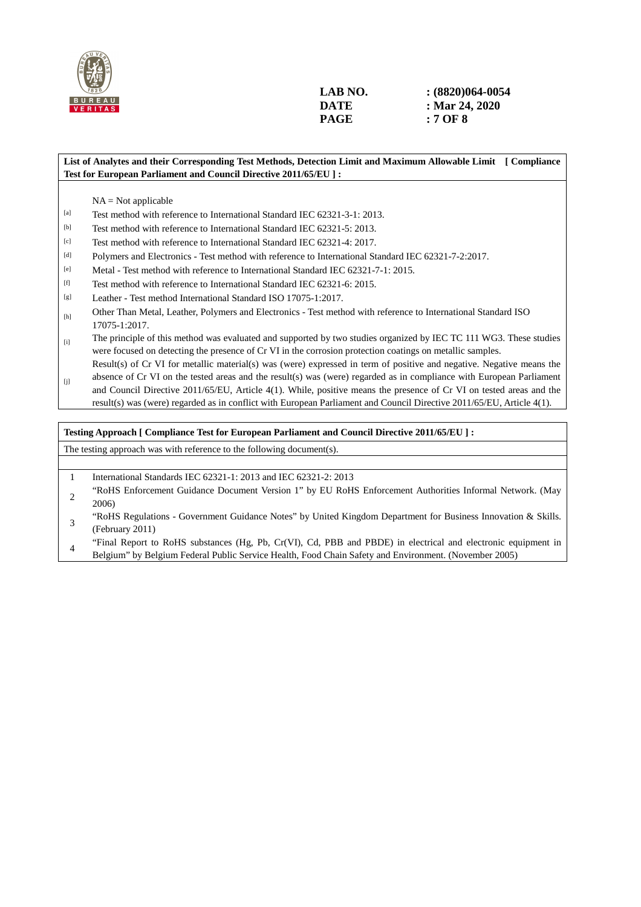

#### **List of Analytes and their Corresponding Test Methods, Detection Limit and Maximum Allowable Limit [ Compliance Test for European Parliament and Council Directive 2011/65/EU ] :**

 $NA = Not applicable$ 

- [a] Test method with reference to International Standard IEC 62321-3-1: 2013.
- [b] Test method with reference to International Standard IEC 62321-5: 2013.
- [c] Test method with reference to International Standard IEC 62321-4: 2017.
- [d] Polymers and Electronics Test method with reference to International Standard IEC 62321-7-2:2017.
- [e] Metal Test method with reference to International Standard IEC 62321-7-1: 2015.
- [f] Test method with reference to International Standard IEC 62321-6: 2015.
- [g] Leather Test method International Standard ISO 17075-1:2017.
- [h] Other Than Metal, Leather, Polymers and Electronics Test method with reference to International Standard ISO 17075-1:2017.
- [i] The principle of this method was evaluated and supported by two studies organized by IEC TC 111 WG3. These studies were focused on detecting the presence of Cr VI in the corrosion protection coatings on metallic samples. Result(s) of Cr VI for metallic material(s) was (were) expressed in term of positive and negative. Negative means the
- $[j]$ absence of Cr VI on the tested areas and the result(s) was (were) regarded as in compliance with European Parliament and Council Directive 2011/65/EU, Article 4(1). While, positive means the presence of Cr VI on tested areas and the result(s) was (were) regarded as in conflict with European Parliament and Council Directive 2011/65/EU, Article 4(1).

#### **Testing Approach [ Compliance Test for European Parliament and Council Directive 2011/65/EU ] :**

The testing approach was with reference to the following document(s).

- 1 International Standards IEC 62321-1: 2013 and IEC 62321-2: 2013
- <sup>2</sup>"RoHS Enforcement Guidance Document Version 1" by EU RoHS Enforcement Authorities Informal Network. (May 2006)
- <sup>3</sup>"RoHS Regulations Government Guidance Notes" by United Kingdom Department for Business Innovation & Skills. (February 2011)
- <sup>4</sup>"Final Report to RoHS substances (Hg, Pb, Cr(VI), Cd, PBB and PBDE) in electrical and electronic equipment in Belgium" by Belgium Federal Public Service Health, Food Chain Safety and Environment. (November 2005)